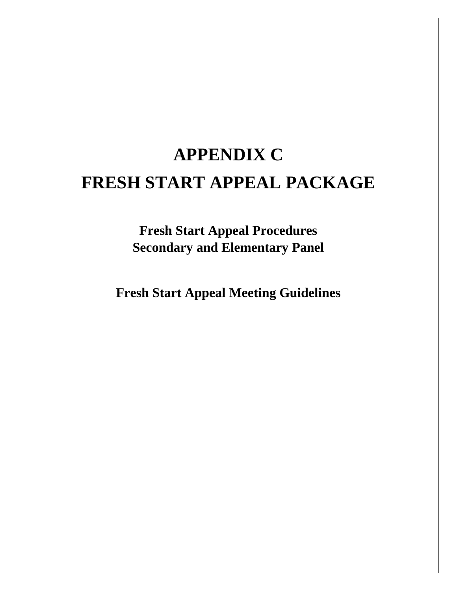# **APPENDIX C FRESH START APPEAL PACKAGE**

**Fresh Start Appeal Procedures Secondary and Elementary Panel** 

**Fresh Start Appeal Meeting Guidelines**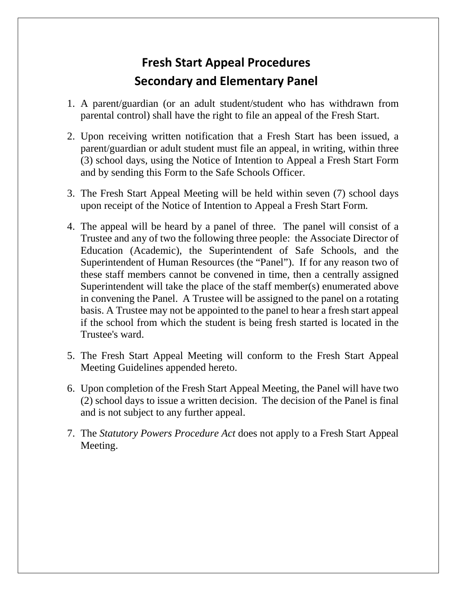# **Fresh Start Appeal Procedures Secondary and Elementary Panel**

- 1. A parent/guardian (or an adult student/student who has withdrawn from parental control) shall have the right to file an appeal of the Fresh Start.
- 2. Upon receiving written notification that a Fresh Start has been issued, a parent/guardian or adult student must file an appeal, in writing, within three (3) school days, using the Notice of Intention to Appeal a Fresh Start Form and by sending this Form to the Safe Schools Officer.
- 3. The Fresh Start Appeal Meeting will be held within seven (7) school days upon receipt of the Notice of Intention to Appeal a Fresh Start Form.
- Trustee and any of two the following three people: the Associate Director of in convening the Panel. A Trustee will be assigned to the panel on a rotating Trustee's ward. 4. The appeal will be heard by a panel of three. The panel will consist of a Education (Academic), the Superintendent of Safe Schools, and the Superintendent of Human Resources (the "Panel"). If for any reason two of these staff members cannot be convened in time, then a centrally assigned Superintendent will take the place of the staff member(s) enumerated above basis. A Trustee may not be appointed to the panel to hear a fresh start appeal if the school from which the student is being fresh started is located in the
- 5. The Fresh Start Appeal Meeting will conform to the Fresh Start Appeal Meeting Guidelines appended hereto.
- 6. Upon completion of the Fresh Start Appeal Meeting, the Panel will have two (2) school days to issue a written decision. The decision of the Panel is final and is not subject to any further appeal.
- 7. The *Statutory Powers Procedure Act* does not apply to a Fresh Start Appeal Meeting.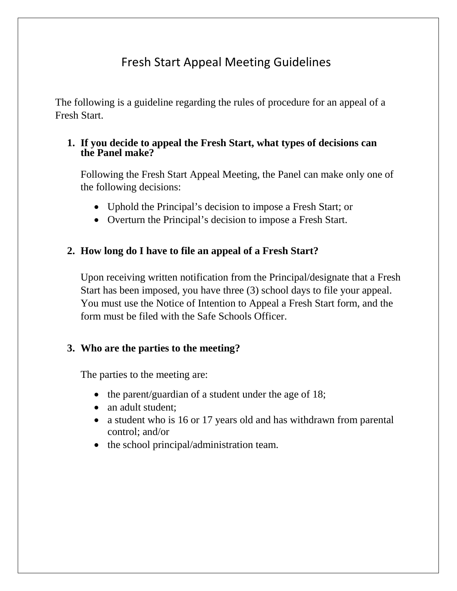# Fresh Start Appeal Meeting Guidelines

The following is a guideline regarding the rules of procedure for an appeal of a Fresh Start.

#### **1. If you decide to appeal the Fresh Start, what types of decisions can the Panel make?**

Following the Fresh Start Appeal Meeting, the Panel can make only one of the following decisions:

- Uphold the Principal's decision to impose a Fresh Start; or
- Overturn the Principal's decision to impose a Fresh Start.

## **2. How long do I have to file an appeal of a Fresh Start?**

Start has been imposed, you have three (3) school days to file your appeal. Start has been imposed, you have three (3) school days to file your appeal. You must use the Notice of Intention to Appeal a Fresh Start form, and the Upon receiving written notification from the Principal/designate that a Fresh form must be filed with the Safe Schools Officer.

## **3. Who are the parties to the meeting?**

The parties to the meeting are:

- the parent/guardian of a student under the age of 18;
- an adult student;
- a student who is 16 or 17 years old and has withdrawn from parental control; and/or
- the school principal/administration team.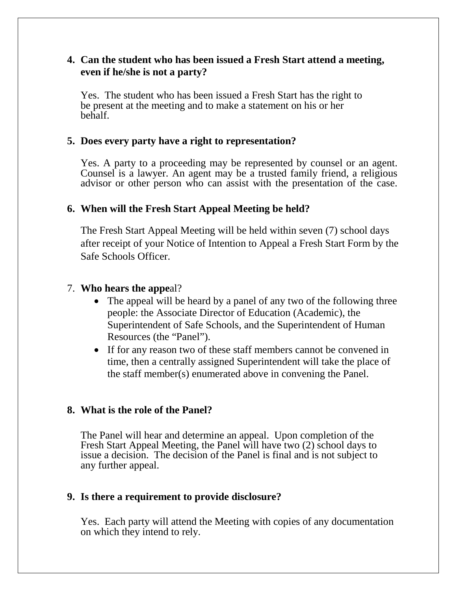#### **4. Can the student who has been issued a Fresh Start attend a meeting, even if he/she is not a party?**

 be present at the meeting and to make a statement on his or her Yes. The student who has been issued a Fresh Start has the right to behalf.

#### **5. Does every party have a right to representation?**

 advisor or other person who can assist with the presentation of the case. Yes. A party to a proceeding may be represented by counsel or an agent. Counsel is a lawyer. An agent may be a trusted family friend, a religious

#### **6. When will the Fresh Start Appeal Meeting be held?**

The Fresh Start Appeal Meeting will be held within seven (7) school days after receipt of your Notice of Intention to Appeal a Fresh Start Form by the Safe Schools Officer.

#### 7. **Who hears the appe**al?

- The appeal will be heard by a panel of any two of the following three people: the Associate Director of Education (Academic), the Superintendent of Safe Schools, and the Superintendent of Human Resources (the "Panel").
- time, then a centrally assigned Superintendent will take the place of • If for any reason two of these staff members cannot be convened in the staff member(s) enumerated above in convening the Panel.

#### **8. What is the role of the Panel?**

The Panel will hear and determine an appeal. Upon completion of the Fresh Start Appeal Meeting, the Panel will have two (2) school days to issue a decision. The decision of the Panel is final and is not subject to any further appeal.

#### **9. Is there a requirement to provide disclosure?**

Yes. Each party will attend the Meeting with copies of any documentation on which they intend to rely.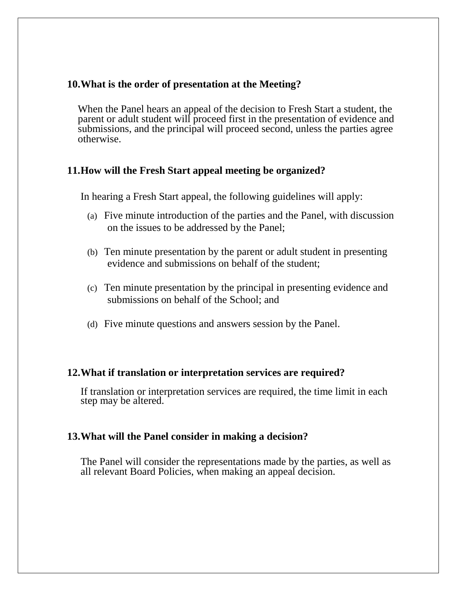#### **10.What is the order of presentation at the Meeting?**

 When the Panel hears an appeal of the decision to Fresh Start a student, the parent or adult student will proceed first in the presentation of evidence and submissions, and the principal will proceed second, unless the parties agree otherwise.

### **11.How will the Fresh Start appeal meeting be organized?**

In hearing a Fresh Start appeal, the following guidelines will apply:

- (a) Five minute introduction of the parties and the Panel, with discussion on the issues to be addressed by the Panel;
- (b) Ten minute presentation by the parent or adult student in presenting evidence and submissions on behalf of the student;
- (c) Ten minute presentation by the principal in presenting evidence and submissions on behalf of the School; and
- (d) Five minute questions and answers session by the Panel.

#### **12.What if translation or interpretation services are required?**

If translation or interpretation services are required, the time limit in each step may be altered.

#### **13.What will the Panel consider in making a decision?**

The Panel will consider the representations made by the parties, as well as all relevant Board Policies, when making an appeal decision.